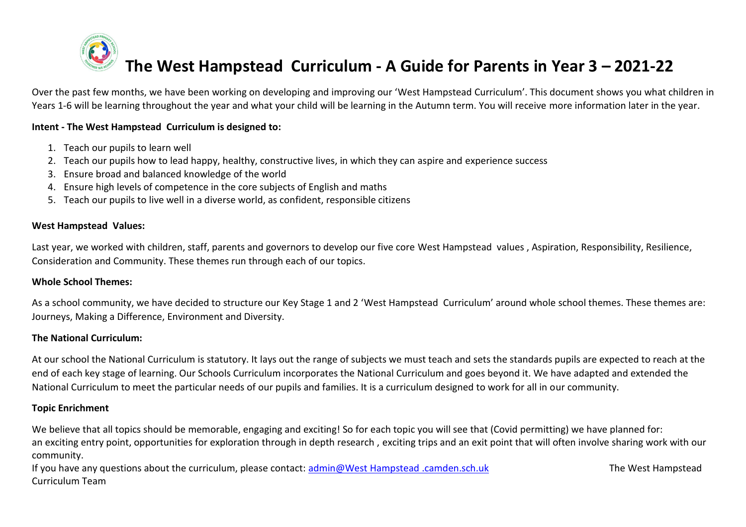# **The West Hampstead Curriculum - A Guide for Parents in Year 3 – 2021-22**

Over the past few months, we have been working on developing and improving our 'West Hampstead Curriculum'. This document shows you what children in Years 1-6 will be learning throughout the year and what your child will be learning in the Autumn term. You will receive more information later in the year.

## **Intent - The West Hampstead Curriculum is designed to:**

- 1. Teach our pupils to learn well
- 2. Teach our pupils how to lead happy, healthy, constructive lives, in which they can aspire and experience success
- 3. Ensure broad and balanced knowledge of the world
- 4. Ensure high levels of competence in the core subjects of English and maths
- 5. Teach our pupils to live well in a diverse world, as confident, responsible citizens

## **West Hampstead Values:**

Last year, we worked with children, staff, parents and governors to develop our five core West Hampstead values , Aspiration, Responsibility, Resilience, Consideration and Community. These themes run through each of our topics.

#### **Whole School Themes:**

As a school community, we have decided to structure our Key Stage 1 and 2 'West Hampstead Curriculum' around whole school themes. These themes are: Journeys, Making a Difference, Environment and Diversity.

#### **The National Curriculum:**

At our school the National Curriculum is statutory. It lays out the range of subjects we must teach and sets the standards pupils are expected to reach at the end of each key stage of learning. Our Schools Curriculum incorporates the National Curriculum and goes beyond it. We have adapted and extended the National Curriculum to meet the particular needs of our pupils and families. It is a curriculum designed to work for all in our community.

#### **Topic Enrichment**

We believe that all topics should be memorable, engaging and exciting! So for each topic you will see that (Covid permitting) we have planned for: an exciting entry point, opportunities for exploration through in depth research , exciting trips and an exit point that will often involve sharing work with our community.

If you have any questions about the curriculum, please contact: [admin@West Hampstead .camden.sch.uk](mailto:admin@beckford.camden.sch.uk) The West Hampstead Curriculum Team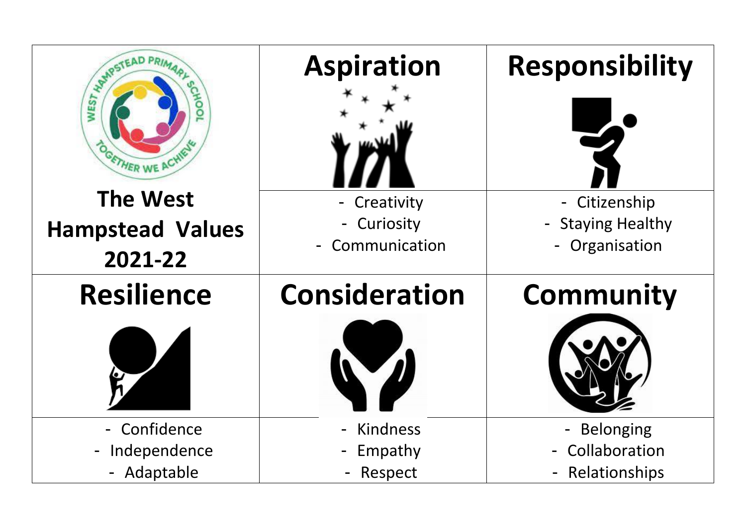| <b>SEARCHEAD PRIM</b>          | <b>Aspiration</b>    | Responsibility                 |
|--------------------------------|----------------------|--------------------------------|
| FTHER WE AC                    |                      |                                |
| <b>The West</b>                | Creativity           | - Citizenship                  |
| <b>Hampstead Values</b>        | - Curiosity          | - Staying Healthy              |
| 2021-22                        | - Communication      | Organisation<br>$\blacksquare$ |
| <b>Resilience</b>              | <b>Consideration</b> | <b>Community</b>               |
|                                |                      |                                |
| - Confidence                   | Kindness             | - Belonging                    |
| Independence<br>$\blacksquare$ | Empathy              | Collaboration                  |
| - Adaptable                    | Respect              | Relationships                  |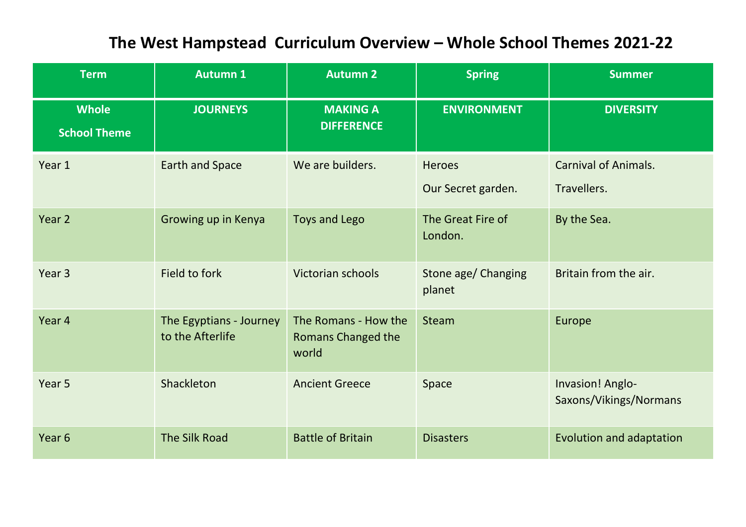# **The West Hampstead Curriculum Overview – Whole School Themes 2021-22**

| <b>Term</b>                         | <b>Autumn 1</b>                             | <b>Autumn 2</b>                                            | <b>Spring</b>                       | <b>Summer</b>                              |
|-------------------------------------|---------------------------------------------|------------------------------------------------------------|-------------------------------------|--------------------------------------------|
| <b>Whole</b><br><b>School Theme</b> | <b>JOURNEYS</b>                             | <b>MAKING A</b><br><b>DIFFERENCE</b>                       | <b>ENVIRONMENT</b>                  | <b>DIVERSITY</b>                           |
| Year 1                              | <b>Earth and Space</b>                      | We are builders.                                           | <b>Heroes</b><br>Our Secret garden. | <b>Carnival of Animals.</b><br>Travellers. |
| Year 2                              | Growing up in Kenya                         | <b>Toys and Lego</b>                                       | The Great Fire of<br>London.        | By the Sea.                                |
| Year <sub>3</sub>                   | Field to fork                               | Victorian schools                                          | Stone age/ Changing<br>planet       | Britain from the air.                      |
| Year 4                              | The Egyptians - Journey<br>to the Afterlife | The Romans - How the<br><b>Romans Changed the</b><br>world | <b>Steam</b>                        | Europe                                     |
| Year 5                              | Shackleton                                  | <b>Ancient Greece</b>                                      | Space                               | Invasion! Anglo-<br>Saxons/Vikings/Normans |
| Year <sub>6</sub>                   | The Silk Road                               | <b>Battle of Britain</b>                                   | <b>Disasters</b>                    | Evolution and adaptation                   |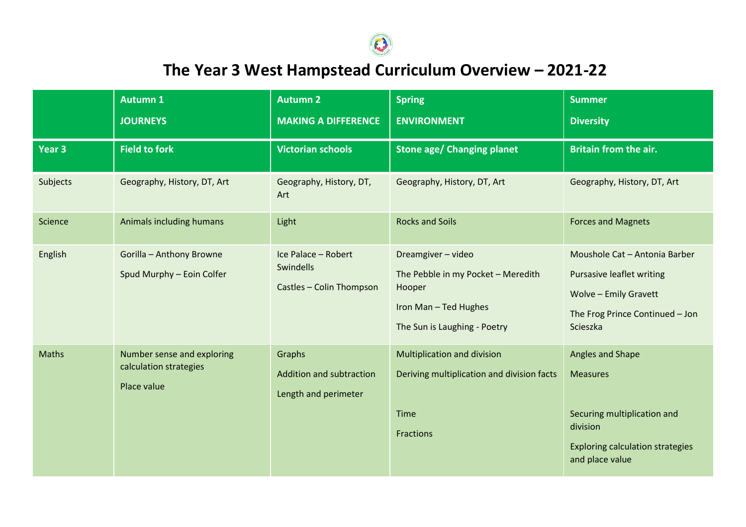

 **The Year 3 West Hampstead Curriculum Overview – 2021-22**

|                   | <b>Autumn 1</b>                                                     | <b>Autumn 2</b>                                              | <b>Spring</b>                                                                                                               | <b>Summer</b>                                                                                                                                    |
|-------------------|---------------------------------------------------------------------|--------------------------------------------------------------|-----------------------------------------------------------------------------------------------------------------------------|--------------------------------------------------------------------------------------------------------------------------------------------------|
|                   | <b>JOURNEYS</b>                                                     | <b>MAKING A DIFFERENCE</b>                                   | <b>ENVIRONMENT</b>                                                                                                          | <b>Diversity</b>                                                                                                                                 |
| Year <sub>3</sub> | <b>Field to fork</b>                                                | <b>Victorian schools</b>                                     | <b>Stone age/ Changing planet</b>                                                                                           | <b>Britain from the air.</b>                                                                                                                     |
| Subjects          | Geography, History, DT, Art                                         | Geography, History, DT,<br>Art                               | Geography, History, DT, Art                                                                                                 | Geography, History, DT, Art                                                                                                                      |
| Science           | Animals including humans                                            | Light                                                        | <b>Rocks and Soils</b>                                                                                                      | <b>Forces and Magnets</b>                                                                                                                        |
| English           | Gorilla - Anthony Browne<br>Spud Murphy - Eoin Colfer               | Ice Palace - Robert<br>Swindells<br>Castles - Colin Thompson | Dreamgiver - video<br>The Pebble in my Pocket - Meredith<br>Hooper<br>Iron Man - Ted Hughes<br>The Sun is Laughing - Poetry | Moushole Cat - Antonia Barber<br><b>Pursasive leaflet writing</b><br><b>Wolve - Emily Gravett</b><br>The Frog Prince Continued - Jon<br>Scieszka |
| Maths             | Number sense and exploring<br>calculation strategies<br>Place value | Graphs<br>Addition and subtraction<br>Length and perimeter   | Multiplication and division<br>Deriving multiplication and division facts<br>Time<br><b>Fractions</b>                       | Angles and Shape<br><b>Measures</b><br>Securing multiplication and<br>division<br><b>Exploring calculation strategies</b><br>and place value     |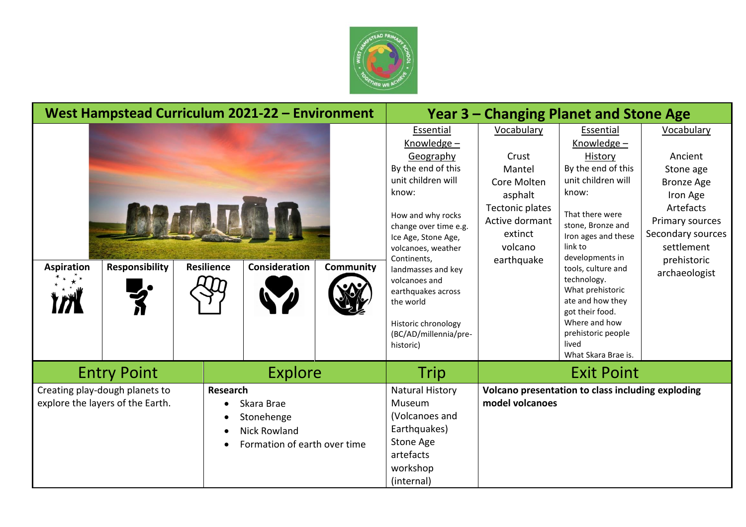

| West Hampstead Curriculum 2021-22 - Environment                                                                                                                                |                       |                                                                                                                        |                   |                                                   | Year 3 – Changing Planet and Stone Age                                                                                                                                                                                                                                                                                                      |                                                                                                                                         |                                                                                                                                                                                                                                                                                                                                                              |                                                                                                                                                                        |
|--------------------------------------------------------------------------------------------------------------------------------------------------------------------------------|-----------------------|------------------------------------------------------------------------------------------------------------------------|-------------------|---------------------------------------------------|---------------------------------------------------------------------------------------------------------------------------------------------------------------------------------------------------------------------------------------------------------------------------------------------------------------------------------------------|-----------------------------------------------------------------------------------------------------------------------------------------|--------------------------------------------------------------------------------------------------------------------------------------------------------------------------------------------------------------------------------------------------------------------------------------------------------------------------------------------------------------|------------------------------------------------------------------------------------------------------------------------------------------------------------------------|
| <b>Aspiration</b>                                                                                                                                                              | <b>Responsibility</b> | <b>Resilience</b>                                                                                                      | Consideration     | <b>Community</b>                                  | Essential<br>Knowledge -<br>Geography<br>By the end of this<br>unit children will<br>know:<br>How and why rocks<br>change over time e.g.<br>Ice Age, Stone Age,<br>volcanoes, weather<br>Continents,<br>landmasses and key<br>volcanoes and<br>earthquakes across<br>the world<br>Historic chronology<br>(BC/AD/millennia/pre-<br>historic) | Vocabulary<br>Crust<br>Mantel<br>Core Molten<br>asphalt<br><b>Tectonic plates</b><br>Active dormant<br>extinct<br>volcano<br>earthquake | Essential<br>Knowledge -<br>History<br>By the end of this<br>unit children will<br>know:<br>That there were<br>stone, Bronze and<br>Iron ages and these<br>link to<br>developments in<br>tools, culture and<br>technology.<br>What prehistoric<br>ate and how they<br>got their food.<br>Where and how<br>prehistoric people<br>lived<br>What Skara Brae is. | Vocabulary<br>Ancient<br>Stone age<br><b>Bronze Age</b><br>Iron Age<br>Artefacts<br>Primary sources<br>Secondary sources<br>settlement<br>prehistoric<br>archaeologist |
| <b>Explore</b><br><b>Entry Point</b>                                                                                                                                           |                       | Trip                                                                                                                   | <b>Exit Point</b> |                                                   |                                                                                                                                                                                                                                                                                                                                             |                                                                                                                                         |                                                                                                                                                                                                                                                                                                                                                              |                                                                                                                                                                        |
| Creating play-dough planets to<br>Research<br>explore the layers of the Earth.<br>Skara Brae<br>$\bullet$<br>Stonehenge<br><b>Nick Rowland</b><br>Formation of earth over time |                       | <b>Natural History</b><br>Museum<br>(Volcanoes and<br>Earthquakes)<br>Stone Age<br>artefacts<br>workshop<br>(internal) | model volcanoes   | Volcano presentation to class including exploding |                                                                                                                                                                                                                                                                                                                                             |                                                                                                                                         |                                                                                                                                                                                                                                                                                                                                                              |                                                                                                                                                                        |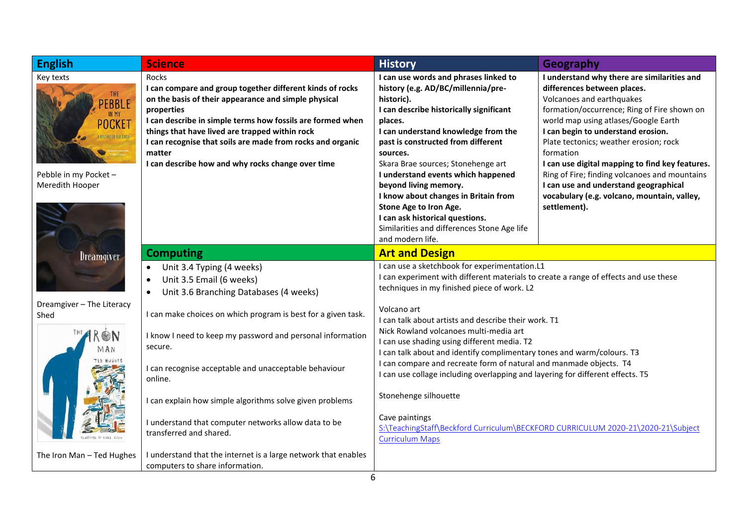| <b>English</b>                                                                                                            | <b>Science</b>                                                                                                                                                                                                                                                                                                                                                                        | <b>History</b>                                                                                                                                                                                                                                                                                                                                                                                                                                                                                                        | Geography                                                                                                                                                                                                                                                                                                                                                                                                                                                                                               |  |  |
|---------------------------------------------------------------------------------------------------------------------------|---------------------------------------------------------------------------------------------------------------------------------------------------------------------------------------------------------------------------------------------------------------------------------------------------------------------------------------------------------------------------------------|-----------------------------------------------------------------------------------------------------------------------------------------------------------------------------------------------------------------------------------------------------------------------------------------------------------------------------------------------------------------------------------------------------------------------------------------------------------------------------------------------------------------------|---------------------------------------------------------------------------------------------------------------------------------------------------------------------------------------------------------------------------------------------------------------------------------------------------------------------------------------------------------------------------------------------------------------------------------------------------------------------------------------------------------|--|--|
| Key texts<br>THE<br><b>EBBLE</b><br>IN MY<br>POCKET<br>A HISTORY OF OUR EARTH<br>Pebble in my Pocket -<br>Meredith Hooper | Rocks<br>I can compare and group together different kinds of rocks<br>on the basis of their appearance and simple physical<br>properties<br>I can describe in simple terms how fossils are formed when<br>things that have lived are trapped within rock<br>I can recognise that soils are made from rocks and organic<br>matter<br>I can describe how and why rocks change over time | I can use words and phrases linked to<br>history (e.g. AD/BC/millennia/pre-<br>historic).<br>I can describe historically significant<br>places.<br>I can understand knowledge from the<br>past is constructed from different<br>sources.<br>Skara Brae sources; Stonehenge art<br>I understand events which happened<br>beyond living memory.<br>I know about changes in Britain from<br>Stone Age to Iron Age.<br>I can ask historical questions.<br>Similarities and differences Stone Age life<br>and modern life. | I understand why there are similarities and<br>differences between places.<br>Volcanoes and earthquakes<br>formation/occurrence; Ring of Fire shown on<br>world map using atlases/Google Earth<br>I can begin to understand erosion.<br>Plate tectonics; weather erosion; rock<br>formation<br>I can use digital mapping to find key features.<br>Ring of Fire; finding volcanoes and mountains<br>I can use and understand geographical<br>vocabulary (e.g. volcano, mountain, valley,<br>settlement). |  |  |
| Dreamgiver                                                                                                                | <b>Computing</b>                                                                                                                                                                                                                                                                                                                                                                      | <b>Art and Design</b>                                                                                                                                                                                                                                                                                                                                                                                                                                                                                                 |                                                                                                                                                                                                                                                                                                                                                                                                                                                                                                         |  |  |
|                                                                                                                           | Unit 3.4 Typing (4 weeks)<br>$\bullet$<br>Unit 3.5 Email (6 weeks)<br>Unit 3.6 Branching Databases (4 weeks)                                                                                                                                                                                                                                                                          | I can use a sketchbook for experimentation.L1<br>I can experiment with different materials to create a range of effects and use these<br>techniques in my finished piece of work. L2                                                                                                                                                                                                                                                                                                                                  |                                                                                                                                                                                                                                                                                                                                                                                                                                                                                                         |  |  |
| Dreamgiver - The Literacy<br>Shed                                                                                         | I can make choices on which program is best for a given task.                                                                                                                                                                                                                                                                                                                         | Volcano art                                                                                                                                                                                                                                                                                                                                                                                                                                                                                                           |                                                                                                                                                                                                                                                                                                                                                                                                                                                                                                         |  |  |
| <b>ON</b><br>MAN<br><b>TED HUGHES</b>                                                                                     | I know I need to keep my password and personal information<br>secure.                                                                                                                                                                                                                                                                                                                 | I can talk about artists and describe their work. T1<br>Nick Rowland volcanoes multi-media art<br>I can use shading using different media. T2<br>I can talk about and identify complimentary tones and warm/colours. T3<br>I can compare and recreate form of natural and manmade objects. T4                                                                                                                                                                                                                         |                                                                                                                                                                                                                                                                                                                                                                                                                                                                                                         |  |  |
|                                                                                                                           | I can recognise acceptable and unacceptable behaviour<br>online.                                                                                                                                                                                                                                                                                                                      | I can use collage including overlapping and layering for different effects. T5                                                                                                                                                                                                                                                                                                                                                                                                                                        |                                                                                                                                                                                                                                                                                                                                                                                                                                                                                                         |  |  |
|                                                                                                                           | I can explain how simple algorithms solve given problems                                                                                                                                                                                                                                                                                                                              | Stonehenge silhouette                                                                                                                                                                                                                                                                                                                                                                                                                                                                                                 |                                                                                                                                                                                                                                                                                                                                                                                                                                                                                                         |  |  |
|                                                                                                                           | I understand that computer networks allow data to be<br>transferred and shared.                                                                                                                                                                                                                                                                                                       | Cave paintings<br><b>Curriculum Maps</b>                                                                                                                                                                                                                                                                                                                                                                                                                                                                              | S:\TeachingStaff\Beckford Curriculum\BECKFORD CURRICULUM 2020-21\2020-21\Subject                                                                                                                                                                                                                                                                                                                                                                                                                        |  |  |
| The Iron Man - Ted Hughes                                                                                                 | I understand that the internet is a large network that enables<br>computers to share information.                                                                                                                                                                                                                                                                                     | 6                                                                                                                                                                                                                                                                                                                                                                                                                                                                                                                     |                                                                                                                                                                                                                                                                                                                                                                                                                                                                                                         |  |  |